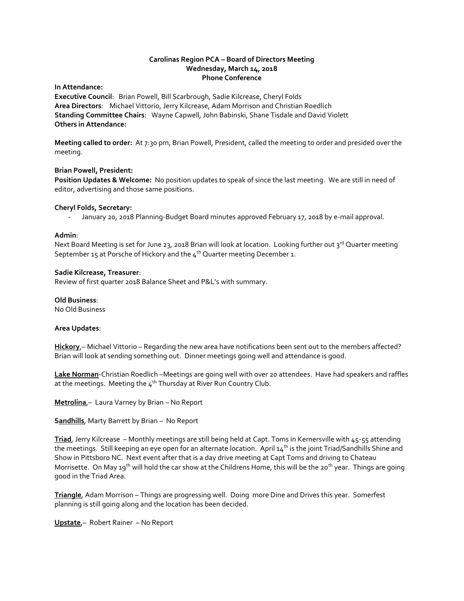# **Carolinas Region PCA – Board of Directors Meeting Wednesday, March 14, 2018 Phone Conference**

**In Attendance:** 

**Executive Council**: Brian Powell, Bill Scarbrough, Sadie Kilcrease, Cheryl Folds **Area Directors**: Michael Vittorio, Jerry Kilcrease, Adam Morrison and Christian Roedlich **Standing Committee Chairs**: Wayne Capwell, John Babinski, Shane Tisdale and David Violett **Others in Attendance:**

**Meeting called to order:** At 7:30 pm, Brian Powell, President, called the meeting to order and presided over the meeting.

### **Brian Powell, President:**

**Position Updates & Welcome:** No position updates to speak of since the last meeting. We are still in need of editor, advertising and those same positions.

### **Cheryl Folds, Secretary:**

- January 20, 2018 Planning-Budget Board minutes approved February 17, 2018 by e-mail approval.

### **Admin**:

Next Board Meeting is set for June 23, 2018 Brian will look at location. Looking further out 3<sup>rd</sup> Quarter meeting September 15 at Porsche of Hickory and the  $4<sup>th</sup>$  Quarter meeting December 1.

#### **Sadie Kilcrease, Treasurer**:

Review of first quarter 2018 Balance Sheet and P&L's with summary.

### **Old Business**:

No Old Business

# **Area Updates**:

**Hickory**,– Michael Vittorio – Regarding the new area have notifications been sent out to the members affected? Brian will look at sending something out. Dinner meetings going well and attendance is good.

**Lake Norman**-Christian Roedlich –Meetings are going well with over 20 attendees. Have had speakers and raffles at the meetings. Meeting the  $4<sup>th</sup>$  Thursday at River Run Country Club.

**Metrolina**,– Laura Varney by Brian – No Report

**Sandhills**, Marty Barrett by Brian – No Report

**Triad**, Jerry Kilcrease – Monthly meetings are still being held at Capt. Toms in Kernersville with 45-55 attending the meetings. Still keeping an eye open for an alternate location. April  $14<sup>th</sup>$  is the joint Triad/Sandhills Shine and Show in Pittsboro NC. Next event after that is a day drive meeting at Capt Toms and driving to Chateau Morrisette. On May 19<sup>th</sup> will hold the car show at the Childrens Home, this will be the 20<sup>th</sup> year. Things are going good in the Triad Area.

**Triangle**, Adam Morrison – Things are progressing well. Doing more Dine and Drives this year. Somerfest planning is still going along and the location has been decided.

**Upstate**,– Robert Rainer – No Report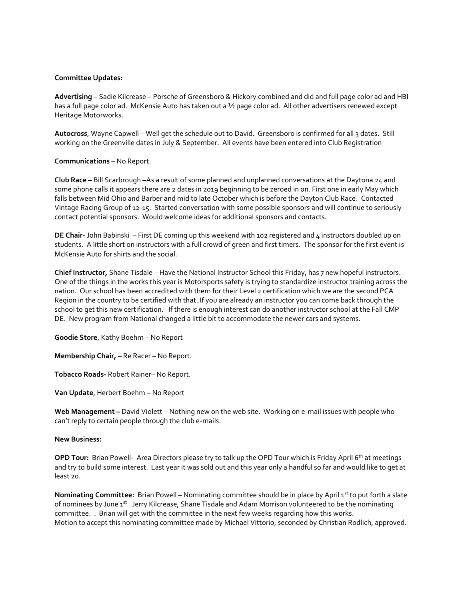### **Committee Updates:**

**Advertising** – Sadie Kilcrease – Porsche of Greensboro & Hickory combined and did and full page color ad and HBI has a full page color ad. McKensie Auto has taken out a 1/2 page color ad. All other advertisers renewed except Heritage Motorworks.

**Autocross**, Wayne Capwell – Well get the schedule out to David. Greensboro is confirmed for all 3 dates. Still working on the Greenville dates in July & September. All events have been entered into Club Registration

### **Communications** – No Report.

**Club Race** – Bill Scarbrough –As a result of some planned and unplanned conversations at the Daytona 24 and some phone calls it appears there are 2 dates in 2019 beginning to be zeroed in on. First one in early May which falls between Mid Ohio and Barber and mid to late October which is before the Dayton Club Race. Contacted Vintage Racing Group of 12-15. Started conversation with some possible sponsors and will continue to seriously contact potential sponsors. Would welcome ideas for additional sponsors and contacts.

**DE Chair-** John Babinski – First DE coming up this weekend with 102 registered and 4 instructors doubled up on students. A little short on instructors with a full crowd of green and first timers. The sponsor for the first event is McKensie Auto for shirts and the social.

**Chief Instructor,** Shane Tisdale – Have the National Instructor School this Friday, has 7 new hopeful instructors. One of the things in the works this year is Motorsports safety is trying to standardize instructor training across the nation. Our school has been accredited with them for their Level 2 certification which we are the second PCA Region in the country to be certified with that. If you are already an instructor you can come back through the school to get this new certification. If there is enough interest can do another instructor school at the Fall CMP DE. New program from National changed a little bit to accommodate the newer cars and systems.

**Goodie Store**, Kathy Boehm – No Report

**Membership Chair, –** Re Racer – No Report.

**Tobacco Roads-** Robert Rainer– No Report.

**Van Update**, Herbert Boehm – No Report

**Web Management –** David Violett – Nothing new on the web site. Working on e-mail issues with people who can't reply to certain people through the club e-mails.

#### **New Business:**

**OPD Tour:** Brian Powell- Area Directors please try to talk up the OPD Tour which is Friday April 6<sup>th</sup> at meetings and try to build some interest. Last year it was sold out and this year only a handful so far and would like to get at least 20.

**Nominating Committee:** Brian Powell – Nominating committee should be in place by April 1st to put forth a slate of nominees by June 1st. Jerry Kilcrease, Shane Tisdale and Adam Morrison volunteered to be the nominating committee. . Brian will get with the committee in the next few weeks regarding how this works. Motion to accept this nominating committee made by Michael Vittorio, seconded by Christian Rodlich, approved.